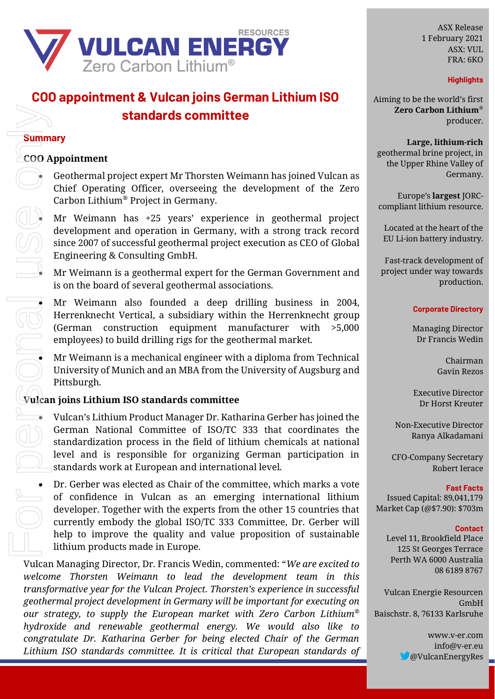

# **COO appointment & Vulcan joins German Lithium ISO standards committee**

# **Summary**

# **COO Appointment**

• Geothermal project expert Mr Thorsten Weimann has joined Vulcan as Chief Operating Officer, overseeing the development of the Zero Carbon Lithium® Project in Germany.

• Mr Weimann has +25 years' experience in geothermal project development and operation in Germany, with a strong track record since 2007 of successful geothermal project execution as CEO of Global Engineering & Consulting GmbH.

• Mr Weimann is a geothermal expert for the German Government and is on the board of several geothermal associations.

• Mr Weimann also founded a deep drilling business in 2004, Herrenknecht Vertical, a subsidiary within the Herrenknecht group (German construction equipment manufacturer with >5,000 employees) to build drilling rigs for the geothermal market.

• Mr Weimann is a mechanical engineer with a diploma from Technical University of Munich and an MBA from the University of Augsburg and Pittsburgh.

# **Vulcan joins Lithium ISO standards committee**

• Vulcan's Lithium Product Manager Dr. Katharina Gerber has joined the German National Committee of ISO/TC 333 that coordinates the standardization process in the field of lithium chemicals at national level and is responsible for organizing German participation in standards work at European and international level.

• Dr. Gerber was elected as Chair of the committee, which marks a vote of confidence in Vulcan as an emerging international lithium developer. Together with the experts from the other 15 countries that currently embody the global ISO/TC 333 Committee, Dr. Gerber will help to improve the quality and value proposition of sustainable lithium products made in Europe.

Vulcan Managing Director, Dr. Francis Wedin, commented: "*We are excited to welcome Thorsten Weimann to lead the development team in this transformative year for the Vulcan Project. Thorsten's experience in successful geothermal project development in Germany will be important for executing on our strategy, to supply the European market with Zero Carbon Lithium*® *hydroxide and renewable geothermal energy. We would also like to congratulate Dr. Katharina Gerber for being elected Chair of the German Lithium ISO standards committee. It is critical that European standards of* 

ASX Release 1 February 2021 ASX: VUL FRA: 6KO

### **Highlights**

Aiming to be the world's first **Zero Carbon Lithium***®* producer.

**Large, lithium-rich** geothermal brine project, in the Upper Rhine Valley of Germany.

Europe's **largest** JORCcompliant lithium resource.

Located at the heart of the EU Li-ion battery industry.

Fast-track development of project under way towards production.

### **Corporate Directory**

Managing Director Dr Francis Wedin

> Chairman Gavin Rezos

Executive Director Dr Horst Kreuter

Non-Executive Director Ranya Alkadamani

CFO-Company Secretary Robert Ierace

**Fast Facts** Issued Capital: 89,041,179 Market Cap (@\$7.90): \$703m

#### **Contact**

Level 11, Brookfield Place 125 St Georges Terrace Perth WA 6000 Australia 08 6189 8767

Vulcan Energie Resourcen GmbH Baischstr. 8, 76133 Karlsruhe

> www.v-er.com info@v-er.eu @VulcanEnergyRes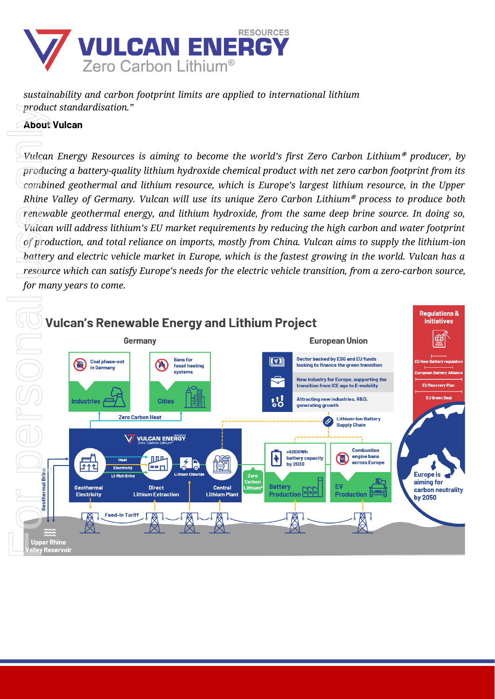

*sustainability and carbon footprint limits are applied to international lithium product standardisation."*

# **About Vulcan**

*Vulcan Energy Resources is aiming to become the world's first Zero Carbon Lithium***®** *producer, by producing a battery-quality lithium hydroxide chemical product with net zero carbon footprint from its combined geothermal and lithium resource, which is Europe's largest lithium resource, in the Upper Rhine Valley of Germany. Vulcan will use its unique Zero Carbon Lithium***®** *process to produce both renewable geothermal energy, and lithium hydroxide, from the same deep brine source. In doing so, Vulcan will address lithium's EU market requirements by reducing the high carbon and water footprint of production, and total reliance on imports, mostly from China. Vulcan aims to supply the lithium-ion battery and electric vehicle market in Europe, which is the fastest growing in the world. Vulcan has a resource which can satisfy Europe's needs for the electric vehicle transition, from a zero-carbon source,*